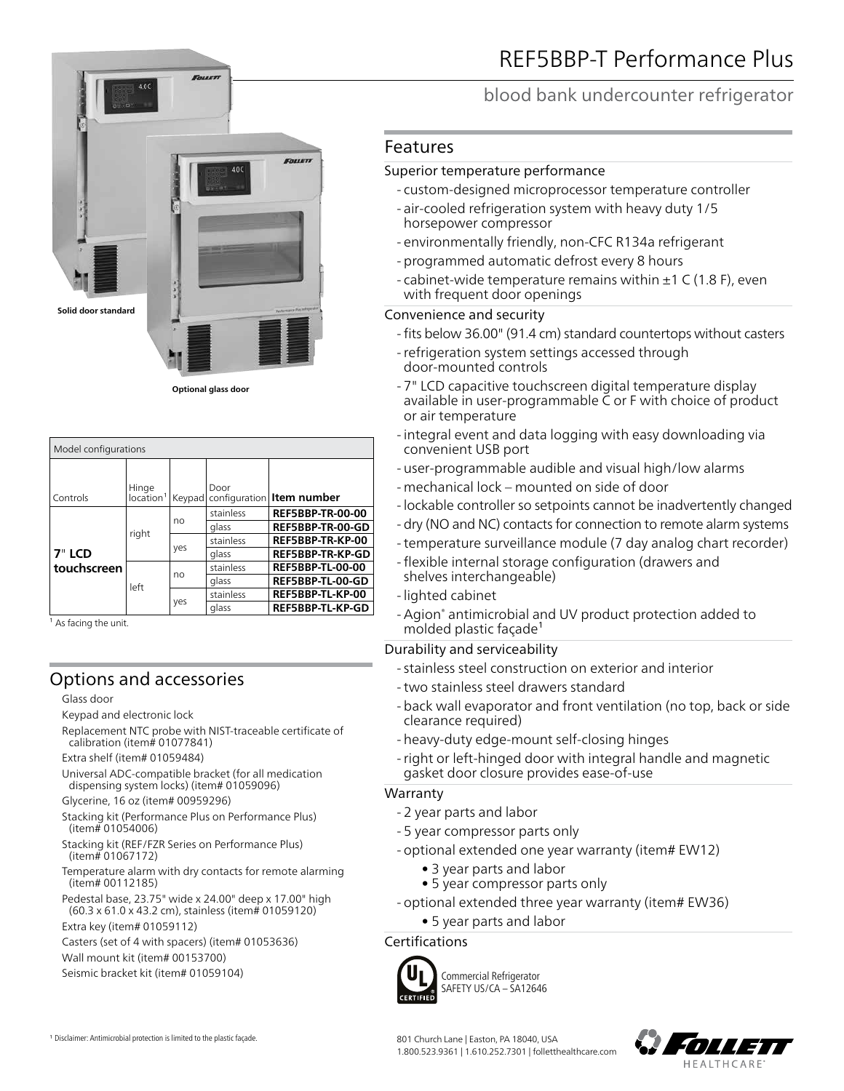

**Optional glass door**

| Model configurations |                                |        |           |                             |  |  |
|----------------------|--------------------------------|--------|-----------|-----------------------------|--|--|
| Controls             | Hinge<br>location <sup>1</sup> | Keypad | Door      | configuration   Item number |  |  |
|                      | right<br>left                  | no     | stainless | <b>REF5BBP-TR-00-00</b>     |  |  |
|                      |                                |        | glass     | REF5BBP-TR-00-GD            |  |  |
|                      |                                | yes    | stainless | REF5BBP-TR-KP-00            |  |  |
| 7" LCD               |                                |        | glass     | <b>REF5BBP-TR-KP-GD</b>     |  |  |
| touchscreen          |                                | no     | stainless | <b>REF5BBP-TL-00-00</b>     |  |  |
|                      |                                |        | glass     | REF5BBP-TL-00-GD            |  |  |
|                      |                                | yes    | stainless | REF5BBP-TL-KP-00            |  |  |
|                      |                                |        | glass     | REF5BBP-TL-KP-GD            |  |  |

<sup>1</sup> As facing the unit.

## Options and accessories

#### Glass door

- Keypad and electronic lock
- Replacement NTC probe with NIST-traceable certificate of calibration (item# 01077841)

Extra shelf (item# 01059484)

- Universal ADC-compatible bracket (for all medication dispensing system locks) (item# 01059096)
- Glycerine, 16 oz (item# 00959296)
- Stacking kit (Performance Plus on Performance Plus) (item# 01054006)
- Stacking kit (REF/FZR Series on Performance Plus) (item# 01067172)
- Temperature alarm with dry contacts for remote alarming (item# 00112185)

Pedestal base, 23.75" wide x 24.00" deep x 17.00" high (60.3 x 61.0 x 43.2 cm), stainless (item# 01059120)

Extra key (item# 01059112)

Casters (set of 4 with spacers) (item# 01053636)

Wall mount kit (item# 00153700)

Seismic bracket kit (item# 01059104)

1 Disclaimer: Antimicrobial protection is limited to the plastic façade.

## blood bank undercounter refrigerator

### Features

#### Superior temperature performance

- custom-designed microprocessor temperature controller
- air-cooled refrigeration system with heavy duty 1/5 horsepower compressor
- environmentally friendly, non-CFC R134a refrigerant
- programmed automatic defrost every 8 hours
- cabinet-wide temperature remains within  $\pm 1$  C (1.8 F), even with frequent door openings

#### Convenience and security

- fits below 36.00" (91.4 cm) standard countertops without casters
- -refrigeration system settings accessed through door-mounted controls
- 7" LCD capacitive touchscreen digital temperature display available in user-programmable C or F with choice of product or air temperature
- integral event and data logging with easy downloading via convenient USB port
- user-programmable audible and visual high/low alarms
- mechanical lock mounted on side of door
- lockable controller so setpoints cannot be inadvertently changed
- dry (NO and NC) contacts for connection to remote alarm systems
- -temperature surveillance module (7 day analog chart recorder)
- flexible internal storage configuration (drawers and shelves interchangeable)
- lighted cabinet
- -Agion® antimicrobial and UV product protection added to molded plastic façade<sup>1</sup>

### Durability and serviceability

- stainless steel construction on exterior and interior
- -two stainless steel drawers standard
- back wall evaporator and front ventilation (no top, back or side clearance required)
- heavy-duty edge-mount self-closing hinges
- -right or left-hinged door with integral handle and magnetic gasket door closure provides ease-of-use

#### Warranty

- 2 year parts and labor
- 5 year compressor parts only
- optional extended one year warranty (item# EW12)
	- 3 year parts and labor
	- 5 year compressor parts only
- optional extended three year warranty (item# EW36)
	- 5 year parts and labor

### Certifications



Commercial Refrigerator SAFETY US/CA – SA12646

801 Church Lane | Easton, PA 18040, USA 1.800.523.9361 | 1.610.252.7301 | folletthealthcare.com